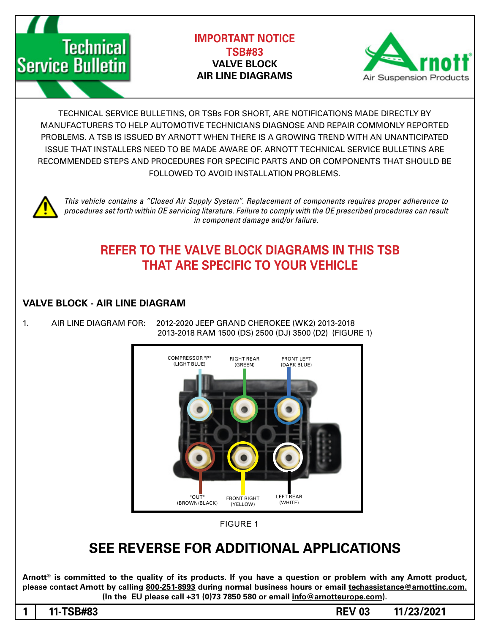



TECHNICAL SERVICE BULLETINS, OR TSBs FOR SHORT, ARE NOTIFICATIONS MADE DIRECTLY BY MANUFACTURERS TO HELP AUTOMOTIVE TECHNICIANS DIAGNOSE AND REPAIR COMMONLY REPORTED PROBLEMS. A TSB IS ISSUED BY ARNOTT WHEN THERE IS A GROWING TREND WITH AN UNANTICIPATED ISSUE THAT INSTALLERS NEED TO BE MADE AWARE OF. ARNOTT TECHNICAL SERVICE BULLETINS ARE RECOMMENDED STEPS AND PROCEDURES FOR SPECIFIC PARTS AND OR COMPONENTS THAT SHOULD BE FOLLOWED TO AVOID INSTALLATION PROBLEMS.



*This vehicle contains a "Closed Air Supply System". Replacement of components requires proper adherence to* procedures set forth within OE servicing literature. Failure to comply with the OE prescribed procedures can result *in component damage and/or failure.* 

## **REFER TO THE VALVE BLOCK DIAGRAMS IN THIS TSB THAT ARE SPECIFIC TO YOUR VEHICLE**

## **VALVE BLOCK - AIR LINE DIAGRAM**

**Technical** 

**Service Bulletin** 

1. AIR LINE DIAGRAM FOR: 2012-2020 JEEP GRAND CHEROKEE (WK2) 2013-2018 2013-2018 RAM 1500 (DS) 2500 (DJ) 3500 (D2) (FIGURE 1)



**FIGURE 1** 

## **APPLICATIONS SEE REVERSE FOR ADDITIONAL APPLICATIONS**

Arnott<sup>®</sup> is committed to the quality of its products. If you have a question or problem with any Arnott product, please contact Arnott by calling 800-251-8993 during normal business hours or email techassistance@arnottinc.com.  $($ In the EU please call  $+31$  (0)73 7850 580 or email info @arnotteurope.com $).$ 

1 11-TSB#83 REV 03 11/23/2021